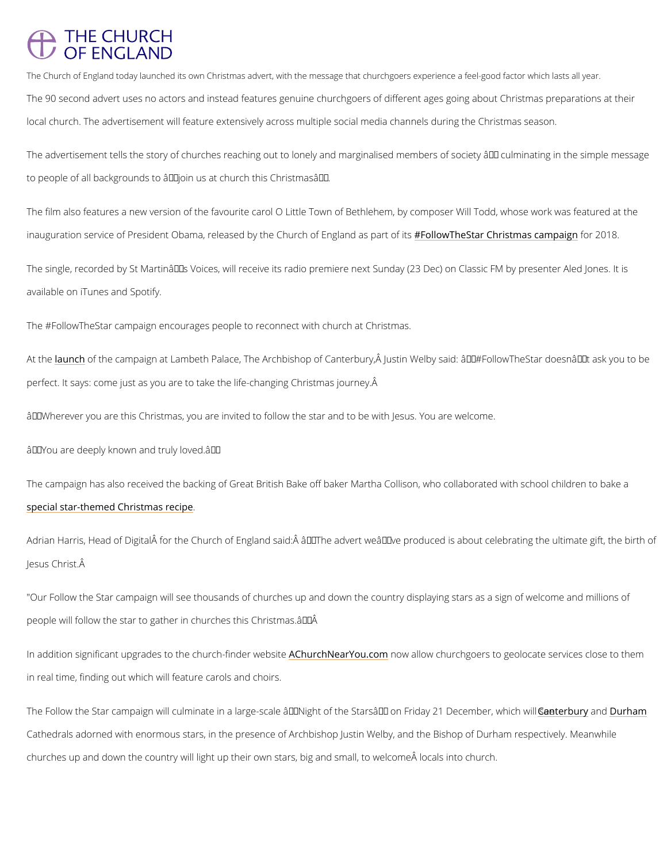## **THE CHURCH** OF ENGLAND

The Church of England today launched its own Christmas advert, with the message that churchgoers exper The 90 second advert uses no actors and instead features genuine churchgoers of different a local church. The advertisement will feature extensively across multiple social media channe

The advertisement tells the story of churches reaching out to lonely and marginalised membe to people of all backgrounds to  $\hat{a} \in \tilde{a}$  ioin us at church this Christmas $\hat{a} \in \tilde{a}$ .

The film also features a new version of the favourite carol O Little Town of Bethlehem, by co inauguration service of President Obama, released by th**e** FColhluorwo TheofSEE anglCahnnol saten apssaomota2**0011pia8**isgn

The single, recorded by St Martin's Voices, will receive its radio premiere next Sunday (2 available on iTunes and Spotify.

At t<u>heun</u>ch fthe campaign at Lambeth Palace, The Archbishop of Canterbury, A Justin Welby s perfect. It says: come just as you are to take the life-changing Christmas journey.

 $\hat{a} \in \infty$  Wherever you are this Christmas, you are invited to follow the star and to be with Jesus.

 $\hat{a} \in \infty$  You are deeply known and truly loved. $\hat{a} \in \cdot$ 

The campaign has also received the backing of Great British Bake off baker Martha Collison, [special star-themed Chri](/more/media-centre/news/baker-martha-collison-joins-schoolchildren-christmas-star-glazing-showdown)stmas recipe .

Adrian Harris, Head of Digital for the Church of England said: â€œThe advert we've pr Jesus Christ.

"Our Follow the Star campaign will see thousands of churches up and down the country displa people will follow the star to gather in churches this Christmas. $\hat{a} \in \hat{A}$ 

In addition significant upgrades to the AChhurrchh-NienadreYrow edacsratie ow churchgoers to geolocate ser

The #FollowTheStar campaign encourages people to reconnect with church at Christmas.

in real time, finding out which will feature carols and choirs.

The Follow t[he Star](https://www.canterbury-cathedral.org/whats-on/event/night-of-the-stars/) campaign will culminate in a large-scale â€~Night of t<u>hCeanSttearntsuânne[y](https://www.durhamcathedral.co.uk/whats-on/night-of-stars-followthestar) om F</u>omman Fri

Cathedrals adorned with enormous stars, in the presence of Archbishop Justin Welby, and the

churches up and down the country will light up their own stars, big and small, to welcome  $\hat{A}$  in